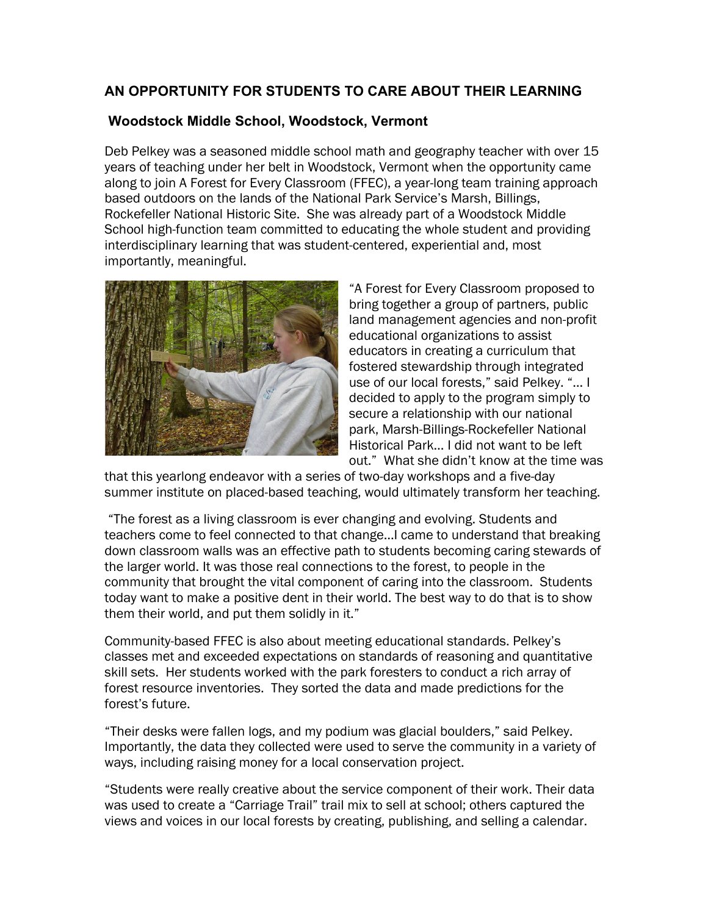## **AN OPPORTUNITY FOR STUDENTS TO CARE ABOUT THEIR LEARNING**

## **Woodstock Middle School, Woodstock, Vermont**

Deb Pelkey was a seasoned middle school math and geography teacher with over 15 years of teaching under her belt in Woodstock, Vermont when the opportunity came along to join A Forest for Every Classroom (FFEC), a year-long team training approach based outdoors on the lands of the National Park Service's Marsh, Billings, Rockefeller National Historic Site. She was already part of a Woodstock Middle School high-function team committed to educating the whole student and providing interdisciplinary learning that was student-centered, experiential and, most importantly, meaningful.



"A Forest for Every Classroom proposed to bring together a group of partners, public land management agencies and non-profit educational organizations to assist educators in creating a curriculum that fostered stewardship through integrated use of our local forests," said Pelkey. "… I decided to apply to the program simply to secure a relationship with our national park, Marsh-Billings-Rockefeller National Historical Park… I did not want to be left out." What she didn't know at the time was

that this yearlong endeavor with a series of two-day workshops and a five-day summer institute on placed-based teaching, would ultimately transform her teaching.

"The forest as a living classroom is ever changing and evolving. Students and teachers come to feel connected to that change…I came to understand that breaking down classroom walls was an effective path to students becoming caring stewards of the larger world. It was those real connections to the forest, to people in the community that brought the vital component of caring into the classroom. Students today want to make a positive dent in their world. The best way to do that is to show them their world, and put them solidly in it."

Community-based FFEC is also about meeting educational standards. Pelkey's classes met and exceeded expectations on standards of reasoning and quantitative skill sets. Her students worked with the park foresters to conduct a rich array of forest resource inventories. They sorted the data and made predictions for the forest's future.

"Their desks were fallen logs, and my podium was glacial boulders," said Pelkey. Importantly, the data they collected were used to serve the community in a variety of ways, including raising money for a local conservation project.

"Students were really creative about the service component of their work. Their data was used to create a "Carriage Trail" trail mix to sell at school; others captured the views and voices in our local forests by creating, publishing, and selling a calendar.